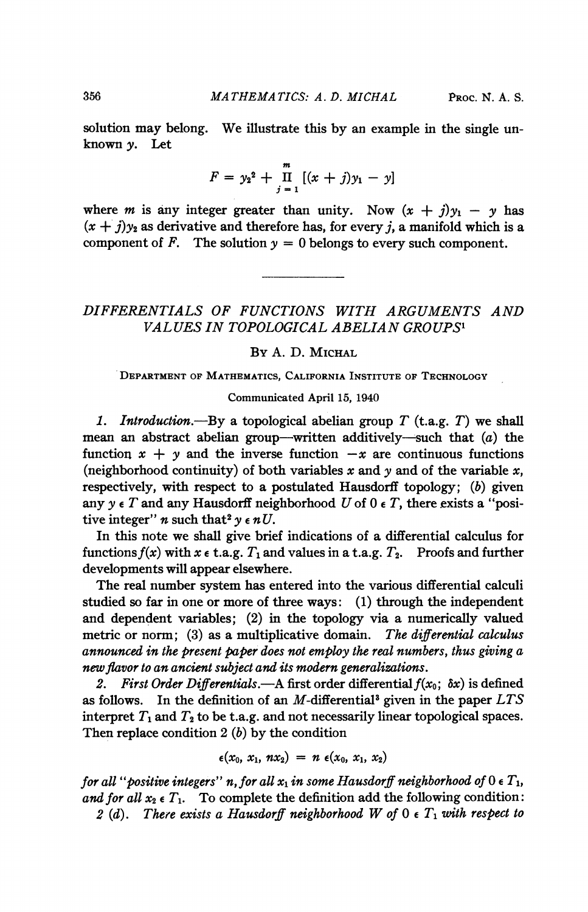solution may belong. We illustrate this by an example in the single unknown y. Let

$$
F = y_2^2 + \prod_{j=1}^m [(x+j)y_1 - y]
$$

where *m* is any integer greater than unity. Now  $(x + j)y_1 - y$  has  $(x + j)y_2$  as derivative and therefore has, for every j, a manifold which is a component of F. The solution  $y = 0$  belongs to every such component.

# DIFFERENTIALS OF FUNCTIONS WITH ARGUMENTS AND VALUES IN TOPOLOGICAL ABELIAN GROUPS'

### BY A. D. MICHAL

DEPARTMENT OF MATHEMATICS, CALIFORNIA INSTITUTE OF TECHNOLOGY

Communicated April 15, 1940

1. Introduction.—By a topological abelian group  $T$  (t.a.g.  $T$ ) we shall mean an abstract abelian group-written additively-such that  $(a)$  the function  $x + y$  and the inverse function  $-x$  are continuous functions (neighborhood continuity) of both variables x and  $y$  and of the variable x, respectively, with respect to a postulated Hausdorff topology;  $(b)$  given any  $y \in T$  and any Hausdorff neighborhood U of 0  $\epsilon$  T, there exists a "positive integer" *n* such that<sup>2</sup>  $\gamma \in nU$ .

In this note we shall give brief indications of a differential calculus for functions  $f(x)$  with  $x \in \text{t.a.g. } T_1$  and values in a t.a.g.  $T_2$ . Proofs and further developments will appear elsewhere.

The real number system has entered into the various differential calculi studied so far in one or more of three ways: (1) through the independent and dependent variables; (2) in the topology via a numerically valued metric or norm; (3) as a multiplicative domain. The differential calculus announced in the present paper does not employ the real numbers, thus giving a new flavor to an ancient subject and its modern generalizations.

2. First Order Differentials.—A first order differential  $f(x_0; \delta x)$  is defined as follows. In the definition of an  $M$ -differential<sup>3</sup> given in the paper  $LTS$ interpret  $T_1$  and  $T_2$  to be t.a.g. and not necessarily linear topological spaces. Then replace condition  $2(b)$  by the condition

$$
\epsilon(x_0, x_1, nx_2) = n \epsilon(x_0, x_1, x_2)
$$

for all "positive integers" n, for all  $x_1$  in some Hausdorff neighborhood of  $0 \in T_1$ , and for all  $x_2 \in T_1$ . To complete the definition add the following condition: 2 (d). There exists a Hausdorff neighborhood W of  $0 \in T_1$  with respect to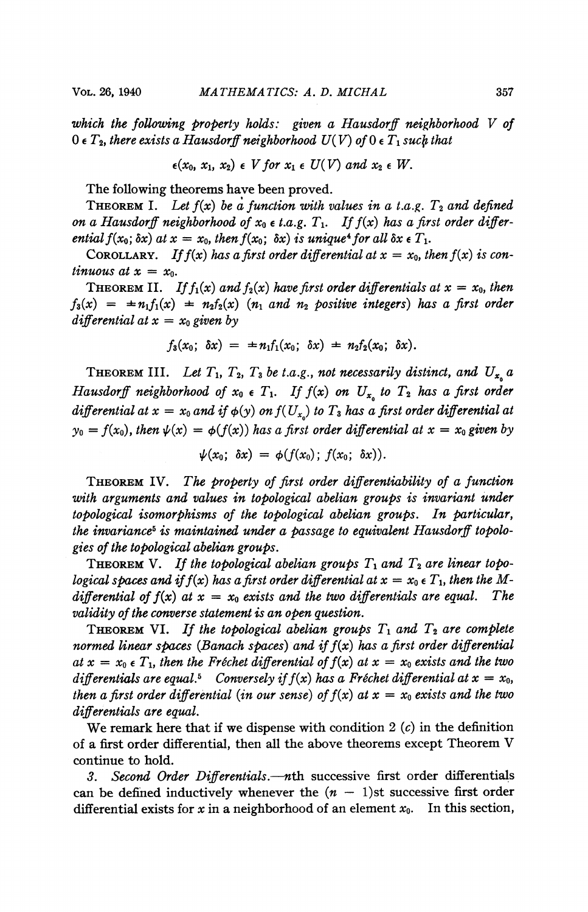which the following property holds: given a Hausdorff neighborhood V of  $0 \in T_2$ , there exists a Hausdorff neighborhood  $U(V)$  of  $0 \in T_1$  such that

$$
\epsilon(x_0, x_1, x_2) \epsilon \ V \text{ for } x_1 \epsilon \ U(V) \ \text{and } x_2 \epsilon \ W.
$$

The following theorems have been proved.

THEOREM I. Let  $f(x)$  be a function with values in a t.a.g.  $T_2$  and defined on a Hausdorff neighborhood of  $x_0 \in t.a.g.$   $T_1$ . If  $f(x)$  has a first order differential  $f(x_0; \delta x)$  at  $x = x_0$ , then  $f(x_0; \delta x)$  is unique<sup>4</sup> for all  $\delta x \in T_1$ .

COROLLARY. If  $f(x)$  has a first order differential at  $x = x_0$ , then  $f(x)$  is continuous at  $x = x_0$ .

THEOREM II. If  $f_1(x)$  and  $f_2(x)$  have first order differentials at  $x = x_0$ , then  $f_3(x) = \pm n_1 f_1(x) + n_2 f_2(x)$  ( $n_1$  and  $n_2$  positive integers) has a first order differential at  $x = x_0$  given by

$$
f_3(x_0; \delta x) = \pm n_1 f_1(x_0; \delta x) \pm n_2 f_2(x_0; \delta x).
$$

THEOREM III. Let  $T_1$ ,  $T_2$ ,  $T_3$  be t.a.g., not necessarily distinct, and  $U_{x_0}$  a Hausdorff neighborhood of  $x_0 \in T_1$ . If  $f(x)$  on  $U_{x_0}$  to  $T_2$  has a first order differential at  $x = x_0$  and if  $\phi(y)$  on  $f(U_{x_0})$  to  $T_3$  has a first order differential at  $y_0 = f(x_0)$ , then  $\psi(x) = \phi(f(x))$  has a first order differential at  $x = x_0$  given by

$$
\psi(x_0; \delta x) = \phi(f(x_0); f(x_0; \delta x)).
$$

THEOREM IV. The property of first order differentiability of a function with arguments and values in topological abelian groups is invariant under topological isomorphisms of the topological abelian groups. In particular, the invariance<sup>5</sup> is maintained under a passage to equivalent Hausdorff topologies of the topological abelian groups.

**THEOREM** V. If the topological abelian groups  $T_1$  and  $T_2$  are linear topological spaces and if  $f(x)$  has a first order differential at  $x = x_0 \in T_1$ , then the Mdifferential of  $f(x)$  at  $x = x_0$  exists and the two differentials are equal. The validity of the converse statement is an open question.

THEOREM VI. If the topological abelian groups  $T_1$  and  $T_2$  are complete normed linear spaces (Banach spaces) and if  $f(x)$  has a first order differential at  $x = x_0 \in T_1$ , then the Fréchet differential of  $f(x)$  at  $x = x_0$  exists and the two differentials are equal.<sup>5</sup> Conversely if  $f(x)$  has a Fréchet differential at  $x = x_0$ , then a first order differential (in our sense) of  $f(x)$  at  $x = x_0$  exists and the two differentials are equal.

We remark here that if we dispense with condition 2  $(c)$  in the definition of <sup>a</sup> first order differential, then all the above theorems except Theorem V continue to hold.

3. Second Order Differentials.—nth successive first order differentials can be defined inductively whenever the  $(n - 1)$ st successive first order differential exists for x in a neighborhood of an element  $x_0$ . In this section,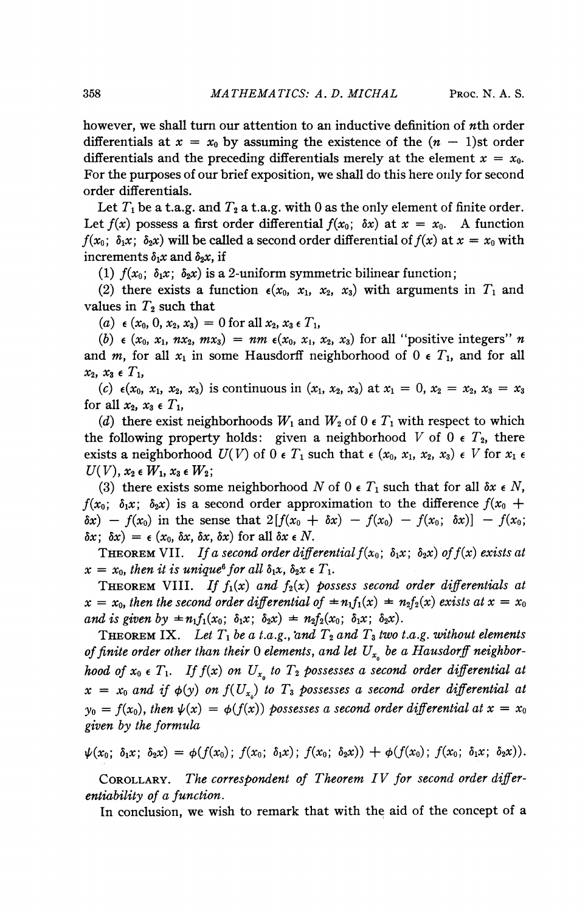however, we shall turn our attention to an inductive definition of nth order differentials at  $x = x_0$  by assuming the existence of the  $(n - 1)$ st order differentials and the preceding differentials merely at the element  $x = x_0$ . For the purposes of our brief exposition, we shall do this here only for second order differentials.

Let  $T_1$  be a t.a.g. and  $T_2$  a t.a.g. with 0 as the only element of finite order. Let  $f(x)$  possess a first order differential  $f(x_0; \delta x)$  at  $x = x_0$ . A function  $f(x_0; \delta_1 x; \delta_2 x)$  will be called a second order differential of  $f(x)$  at  $x = x_0$  with increments  $\delta_1x$  and  $\delta_2x$ , if

(1)  $f(x_0; \delta_1 x; \delta_2 x)$  is a 2-uniform symmetric bilinear function;

(2) there exists a function  $\epsilon(x_0, x_1, x_2, x_3)$  with arguments in  $T_1$  and values in  $T_2$  such that

(a)  $\epsilon$  (x<sub>0</sub>, 0, x<sub>2</sub>, x<sub>3</sub>) = 0 for all x<sub>2</sub>, x<sub>3</sub>  $\epsilon$  T<sub>1</sub>,

(b)  $\epsilon$  (x<sub>0</sub>, x<sub>1</sub>, nx<sub>2</sub>, mx<sub>3</sub>) = nm  $\epsilon$ (x<sub>0</sub>, x<sub>1</sub>, x<sub>2</sub>, x<sub>3</sub>) for all "positive integers" n and m, for all  $x_1$  in some Hausdorff neighborhood of  $0 \in T_1$ , and for all  $x_2, x_3 \in T_1$ 

(c)  $\epsilon(x_0, x_1, x_2, x_3)$  is continuous in  $(x_1, x_2, x_3)$  at  $x_1 = 0, x_2 = x_2, x_3 = x_3$ for all  $x_2$ ,  $x_3 \in T_1$ ,

(d) there exist neighborhoods  $W_1$  and  $W_2$  of 0  $\epsilon$   $T_1$  with respect to which the following property holds: given a neighborhood V of 0  $\epsilon$   $T_2$ , there exists a neighborhood  $U(V)$  of  $0 \in T_1$  such that  $\epsilon$   $(x_0, x_1, x_2, x_3) \in V$  for  $x_1 \epsilon$  $U(V)$ ,  $x_2 \in W_1$ ,  $x_3 \in W_2$ ;

(3) there exists some neighborhood N of 0  $\epsilon$  T<sub>1</sub> such that for all  $\delta x \epsilon N$ ,  $f(x_0; \delta_1x; \delta_2x)$  is a second order approximation to the difference  $f(x_0 +$  $\delta x$ ) -  $f(x_0)$  in the sense that  $2[f(x_0 + \delta x) - f(x_0) - f(x_0; \delta x)] - f(x_0;$  $\delta x$ ;  $\delta x$ ) =  $\epsilon$  (x<sub>0</sub>,  $\delta x$ ,  $\delta x$ ,  $\delta x$ ) for all  $\delta x \in N$ .

THEOREM VII. If a second order differential  $f(x_0; \delta_1x; \delta_2x)$  of  $f(x)$  exists at  $x = x_0$ , then it is unique<sup>6</sup> for all  $\delta_1 x$ ,  $\delta_2 x \in T_1$ .

**THEOREM VIII.** If  $f_1(x)$  and  $f_2(x)$  possess second order differentials at  $x = x_0$ , then the second order differential of  $=n_1f_1(x) = n_2f_2(x)$  exists at  $x = x_0$ and is given by  $\pm n_1 f_1(x_0; \delta_1 x; \delta_2 x) \pm n_2 f_2(x_0; \delta_1 x; \delta_2 x)$ .

**THEOREM IX.** Let  $T_1$  be a t.a.g., and  $T_2$  and  $T_3$  two t.a.g. without elements of finite order other than their 0 elements, and let  $U_{x_0}$  be a Hausdorff neighborhood of  $x_0 \in T_1$ . If  $f(x)$  on  $U_{x_0}$  to  $T_2$  possesses a second order differential at  $x = x_0$  and if  $\phi(y)$  on  $f(U_{x_0})$  to  $T_3$  possesses a second order differential at  $y_0 = f(x_0)$ , then  $\psi(x) = \phi(f(x))$  possesses a second order differential at  $x = x_0$ given by the formula

 $\psi(x_0; \delta_1x; \delta_2x) = \phi(f(x_0); f(x_0; \delta_1x); f(x_0; \delta_2x)) + \phi(f(x_0); f(x_0; \delta_1x; \delta_2x)).$ 

COROLLARY. The correspondent of Theorem IV for second order differentiability of a function.

In conclusion, we wish to remark that with the aid of the concept of a